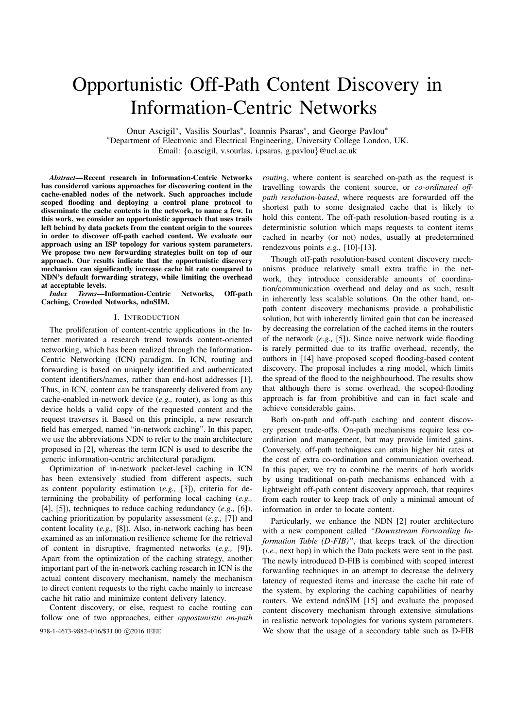# Opportunistic Off-Path Content Discovery in Information-Centric Networks

Onur Ascigil\*, Vasilis Sourlas\*, Ioannis Psaras\*, and George Pavlou\* ⇤Department of Electronic and Electrical Engineering, University College London, UK. Email: *{*o.ascigil, v.sourlas, i.psaras, g.pavlou*}*@ucl.ac.uk

*Abstract*—Recent research in Information-Centric Networks has considered various approaches for discovering content in the cache-enabled nodes of the network. Such approaches include scoped flooding and deploying a control plane protocol to disseminate the cache contents in the network, to name a few. In this work, we consider an opportunistic approach that uses trails left behind by data packets from the content origin to the sources in order to discover off-path cached content. We evaluate our approach using an ISP topology for various system parameters. We propose two new forwarding strategies built on top of our approach. Our results indicate that the opportunistic discovery mechanism can significantly increase cache hit rate compared to NDN's default forwarding strategy, while limiting the overhead at acceptable levels.

*Index Terms*—Information-Centric Networks, Off-path Caching, Crowded Networks, ndnSIM.

## I. INTRODUCTION

The proliferation of content-centric applications in the Internet motivated a research trend towards content-oriented networking, which has been realized through the Information-Centric Networking (ICN) paradigm. In ICN, routing and forwarding is based on uniquely identified and authenticated content identifiers/names, rather than end-host addresses [1]. Thus, in ICN, content can be transparently delivered from any cache-enabled in-network device (*e.g.,* router), as long as this device holds a valid copy of the requested content and the request traverses it. Based on this principle, a new research field has emerged, named "in-network caching". In this paper, we use the abbreviations NDN to refer to the main architecture proposed in [2], whereas the term ICN is used to describe the generic information-centric architectural paradigm.

Optimization of in-network packet-level caching in ICN has been extensively studied from different aspects, such as content popularity estimation (*e.g.,* [3]), criteria for determining the probability of performing local caching (*e.g.,* [4], [5]), techniques to reduce caching redundancy (*e.g.,* [6]), caching prioritization by popularity assessment (*e.g.,* [7]) and content locality (*e.g.,* [8]). Also, in-network caching has been examined as an information resilience scheme for the retrieval of content in disruptive, fragmented networks (*e.g.,* [9]). Apart from the optimization of the caching strategy, another important part of the in-network caching research in ICN is the actual content discovery mechanism, namely the mechanism to direct content requests to the right cache mainly to increase cache hit ratio and minimize content delivery latency.

Content discovery, or else, request to cache routing can follow one of two approaches, either *oppostunistic on-path* *routing*, where content is searched on-path as the request is travelling towards the content source, or *co-ordinated offpath resolution-based*, where requests are forwarded off the shortest path to some designated cache that is likely to hold this content. The off-path resolution-based routing is a deterministic solution which maps requests to content items cached in nearby (or not) nodes, usually at predetermined rendezvous points *e.g.,* [10]-[13].

Though off-path resolution-based content discovery mechanisms produce relatively small extra traffic in the network, they introduce considerable amounts of coordination/communication overhead and delay and as such, result in inherently less scalable solutions. On the other hand, onpath content discovery mechanisms provide a probabilistic solution, but with inherently limited gain that can be increased by decreasing the correlation of the cached items in the routers of the network (*e.g.,* [5]). Since naive network wide flooding is rarely permitted due to its traffic overhead, recently, the authors in [14] have proposed scoped flooding-based content discovery. The proposal includes a ring model, which limits the spread of the flood to the neighbourhood. The results show that although there is some overhead, the scoped-flooding approach is far from prohibitive and can in fact scale and achieve considerable gains.

Both on-path and off-path caching and content discovery present trade-offs. On-path mechanisms require less coordination and management, but may provide limited gains. Conversely, off-path techniques can attain higher hit rates at the cost of extra co-ordination and communication overhead. In this paper, we try to combine the merits of both worlds by using traditional on-path mechanisms enhanced with a lightweight off-path content discovery approach, that requires from each router to keep track of only a minimal amount of information in order to locate content.

Particularly, we enhance the NDN [2] router architecture with a new component called *"Downstream Forwarding Information Table (D-FIB)"*, that keeps track of the direction (*i.e.,* next hop) in which the Data packets were sent in the past. The newly introduced D-FIB is combined with scoped interest forwarding techniques in an attempt to decrease the delivery latency of requested items and increase the cache hit rate of the system, by exploring the caching capabilities of nearby routers. We extend ndnSIM [15] and evaluate the proposed content discovery mechanism through extensive simulations in realistic network topologies for various system parameters. 978-1-4673-9882-4/16/\$31.00  $\odot$ 2016 IEEE We show that the usage of a secondary table such as D-FIB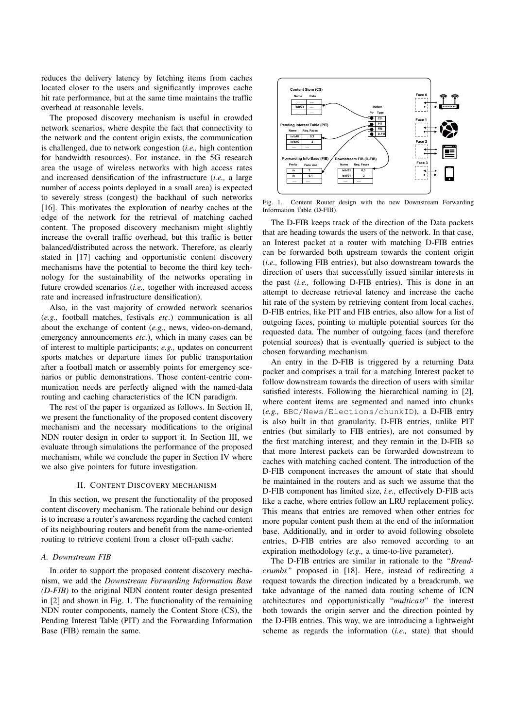reduces the delivery latency by fetching items from caches located closer to the users and significantly improves cache hit rate performance, but at the same time maintains the traffic overhead at reasonable levels.

The proposed discovery mechanism is useful in crowded network scenarios, where despite the fact that connectivity to the network and the content origin exists, the communication is challenged, due to network congestion (*i.e.,* high contention for bandwidth resources). For instance, in the 5G research area the usage of wireless networks with high access rates and increased densification of the infrastructure (*i.e.,* a large number of access points deployed in a small area) is expected to severely stress (congest) the backhaul of such networks [16]. This motivates the exploration of nearby caches at the edge of the network for the retrieval of matching cached content. The proposed discovery mechanism might slightly increase the overall traffic overhead, but this traffic is better balanced/distributed across the network. Therefore, as clearly stated in [17] caching and opportunistic content discovery mechanisms have the potential to become the third key technology for the sustainability of the networks operating in future crowded scenarios (*i.e.,* together with increased access rate and increased infrastructure densification).

Also, in the vast majority of crowded network scenarios (*e.g.,* football matches, festivals *etc.*) communication is all about the exchange of content (*e.g.,* news, video-on-demand, emergency announcements *etc.*), which in many cases can be of interest to multiple participants; *e.g.,* updates on concurrent sports matches or departure times for public transportation after a football match or assembly points for emergency scenarios or public demonstrations. Those content-centric communication needs are perfectly aligned with the named-data routing and caching characteristics of the ICN paradigm.

The rest of the paper is organized as follows. In Section II, we present the functionality of the proposed content discovery mechanism and the necessary modifications to the original NDN router design in order to support it. In Section III, we evaluate through simulations the performance of the proposed mechanism, while we conclude the paper in Section IV where we also give pointers for future investigation.

#### II. CONTENT DISCOVERY MECHANISM

In this section, we present the functionality of the proposed content discovery mechanism. The rationale behind our design is to increase a router's awareness regarding the cached content of its neighbouring routers and benefit from the name-oriented routing to retrieve content from a closer off-path cache.

#### *A. Downstream FIB*

In order to support the proposed content discovery mechanism, we add the *Downstream Forwarding Information Base (D-FIB)* to the original NDN content router design presented in [2] and shown in Fig. 1. The functionality of the remaining NDN router components, namely the Content Store (CS), the Pending Interest Table (PIT) and the Forwarding Information Base (FIB) remain the same.



Fig. 1. Content Router design with the new Downstream Forwarding Information Table (D-FIB).

The D-FIB keeps track of the direction of the Data packets that are heading towards the users of the network. In that case, an Interest packet at a router with matching D-FIB entries can be forwarded both upstream towards the content origin (*i.e.,* following FIB entries), but also downstream towards the direction of users that successfully issued similar interests in the past (*i.e.,* following D-FIB entries). This is done in an attempt to decrease retrieval latency and increase the cache hit rate of the system by retrieving content from local caches. D-FIB entries, like PIT and FIB entries, also allow for a list of outgoing faces, pointing to multiple potential sources for the requested data. The number of outgoing faces (and therefore potential sources) that is eventually queried is subject to the chosen forwarding mechanism.

An entry in the D-FIB is triggered by a returning Data packet and comprises a trail for a matching Interest packet to follow downstream towards the direction of users with similar satisfied interests. Following the hierarchical naming in [2], where content items are segmented and named into chunks (*e.g.,* BBC/News/Elections/chunkID), a D-FIB entry is also built in that granularity. D-FIB entries, unlike PIT entries (but similarly to FIB entries), are not consumed by the first matching interest, and they remain in the D-FIB so that more Interest packets can be forwarded downstream to caches with matching cached content. The introduction of the D-FIB component increases the amount of state that should be maintained in the routers and as such we assume that the D-FIB component has limited size, *i.e.,* effectively D-FIB acts like a cache, where entries follow an LRU replacement policy. This means that entries are removed when other entries for more popular content push them at the end of the information base. Additionally, and in order to avoid following obsolete entries, D-FIB entries are also removed according to an expiration methodology (*e.g.,* a time-to-live parameter).

The D-FIB entries are similar in rationale to the *"Breadcrumbs"* proposed in [18]. Here, instead of redirecting a request towards the direction indicated by a breadcrumb, we take advantage of the named data routing scheme of ICN architectures and opportunistically "*multicast*" the interest both towards the origin server and the direction pointed by the D-FIB entries. This way, we are introducing a lightweight scheme as regards the information (*i.e.,* state) that should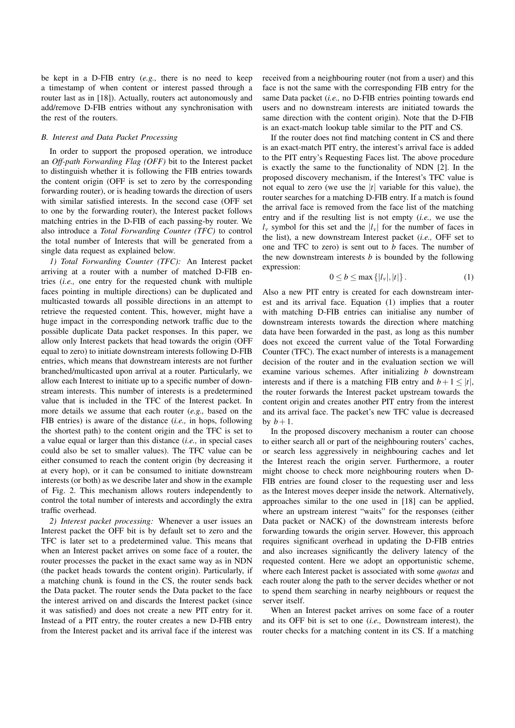be kept in a D-FIB entry (*e.g.,* there is no need to keep a timestamp of when content or interest passed through a router last as in [18]). Actually, routers act autonomously and add/remove D-FIB entries without any synchronisation with the rest of the routers.

# *B. Interest and Data Packet Processing*

In order to support the proposed operation, we introduce an *Off-path Forwarding Flag (OFF)* bit to the Interest packet to distinguish whether it is following the FIB entries towards the content origin (OFF is set to zero by the corresponding forwarding router), or is heading towards the direction of users with similar satisfied interests. In the second case (OFF set to one by the forwarding router), the Interest packet follows matching entries in the D-FIB of each passing-by router. We also introduce a *Total Forwarding Counter (TFC)* to control the total number of Interests that will be generated from a single data request as explained below.

*1) Total Forwarding Counter (TFC):* An Interest packet arriving at a router with a number of matched D-FIB entries (*i.e.,* one entry for the requested chunk with multiple faces pointing in multiple directions) can be duplicated and multicasted towards all possible directions in an attempt to retrieve the requested content. This, however, might have a huge impact in the corresponding network traffic due to the possible duplicate Data packet responses. In this paper, we allow only Interest packets that head towards the origin (OFF equal to zero) to initiate downstream interests following D-FIB entries, which means that downstream interests are not further branched/multicasted upon arrival at a router. Particularly, we allow each Interest to initiate up to a specific number of downstream interests. This number of interests is a predetermined value that is included in the TFC of the Interest packet. In more details we assume that each router (*e.g.,* based on the FIB entries) is aware of the distance (*i.e.,* in hops, following the shortest path) to the content origin and the TFC is set to a value equal or larger than this distance (*i.e.,* in special cases could also be set to smaller values). The TFC value can be either consumed to reach the content origin (by decreasing it at every hop), or it can be consumed to initiate downstream interests (or both) as we describe later and show in the example of Fig. 2. This mechanism allows routers independently to control the total number of interests and accordingly the extra traffic overhead.

*2) Interest packet processing:* Whenever a user issues an Interest packet the OFF bit is by default set to zero and the TFC is later set to a predetermined value. This means that when an Interest packet arrives on some face of a router, the router processes the packet in the exact same way as in NDN (the packet heads towards the content origin). Particularly, if a matching chunk is found in the CS, the router sends back the Data packet. The router sends the Data packet to the face the interest arrived on and discards the Interest packet (since it was satisfied) and does not create a new PIT entry for it. Instead of a PIT entry, the router creates a new D-FIB entry from the Interest packet and its arrival face if the interest was

received from a neighbouring router (not from a user) and this face is not the same with the corresponding FIB entry for the same Data packet (*i.e.,* no D-FIB entries pointing towards end users and no downstream interests are initiated towards the same direction with the content origin). Note that the D-FIB is an exact-match lookup table similar to the PIT and CS.

If the router does not find matching content in CS and there is an exact-match PIT entry, the interest's arrival face is added to the PIT entry's Requesting Faces list. The above procedure is exactly the same to the functionality of NDN [2]. In the proposed discovery mechanism, if the Interest's TFC value is not equal to zero (we use the  $|t|$  variable for this value), the router searches for a matching D-FIB entry. If a match is found the arrival face is removed from the face list of the matching entry and if the resulting list is not empty (*i.e.,* we use the  $l_v$  symbol for this set and the  $|l_v|$  for the number of faces in the list), a new downstream Interest packet (*i.e.,* OFF set to one and TFC to zero) is sent out to *b* faces. The number of the new downstream interests *b* is bounded by the following expression:

$$
0 \le b \le \max\{|l_v|, |t|\}.
$$
 (1)

Also a new PIT entry is created for each downstream interest and its arrival face. Equation (1) implies that a router with matching D-FIB entries can initialise any number of downstream interests towards the direction where matching data have been forwarded in the past, as long as this number does not exceed the current value of the Total Forwarding Counter (TFC). The exact number of interests is a management decision of the router and in the evaluation section we will examine various schemes. After initializing *b* downstream interests and if there is a matching FIB entry and  $b+1 \leq |t|$ , the router forwards the Interest packet upstream towards the content origin and creates another PIT entry from the interest and its arrival face. The packet's new TFC value is decreased by  $b+1$ .

In the proposed discovery mechanism a router can choose to either search all or part of the neighbouring routers' caches, or search less aggressively in neighbouring caches and let the Interest reach the origin server. Furthermore, a router might choose to check more neighbouring routers when D-FIB entries are found closer to the requesting user and less as the Interest moves deeper inside the network. Alternatively, approaches similar to the one used in [18] can be applied, where an upstream interest "waits" for the responses (either Data packet or NACK) of the downstream interests before forwarding towards the origin server. However, this approach requires significant overhead in updating the D-FIB entries and also increases significantly the delivery latency of the requested content. Here we adopt an opportunistic scheme, where each Interest packet is associated with some *quotas* and each router along the path to the server decides whether or not to spend them searching in nearby neighbours or request the server itself.

When an Interest packet arrives on some face of a router and its OFF bit is set to one (*i.e.,* Downstream interest), the router checks for a matching content in its CS. If a matching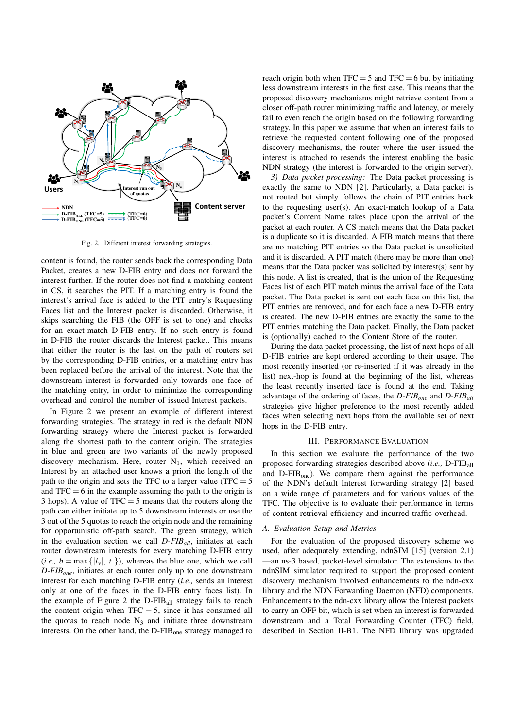

Fig. 2. Different interest forwarding strategies.

content is found, the router sends back the corresponding Data Packet, creates a new D-FIB entry and does not forward the interest further. If the router does not find a matching content in CS, it searches the PIT. If a matching entry is found the interest's arrival face is added to the PIT entry's Requesting Faces list and the Interest packet is discarded. Otherwise, it skips searching the FIB (the OFF is set to one) and checks for an exact-match D-FIB entry. If no such entry is found in D-FIB the router discards the Interest packet. This means that either the router is the last on the path of routers set by the corresponding D-FIB entries, or a matching entry has been replaced before the arrival of the interest. Note that the downstream interest is forwarded only towards one face of the matching entry, in order to minimize the corresponding overhead and control the number of issued Interest packets.

In Figure 2 we present an example of different interest forwarding strategies. The strategy in red is the default NDN forwarding strategy where the Interest packet is forwarded along the shortest path to the content origin. The strategies in blue and green are two variants of the newly proposed discovery mechanism. Here, router  $N_1$ , which received an Interest by an attached user knows a priori the length of the path to the origin and sets the TFC to a larger value (TFC  $= 5$ and  $TFC = 6$  in the example assuming the path to the origin is 3 hops). A value of  $TFC = 5$  means that the routers along the path can either initiate up to 5 downstream interests or use the 3 out of the 5 quotas to reach the origin node and the remaining for opportunistic off-path search. The green strategy, which in the evaluation section we call *D-FIBall*, initiates at each router downstream interests for every matching D-FIB entry  $(i.e., b = \max\{|l_v|, |t|\})$ , whereas the blue one, which we call *D-FIBone*, initiates at each router only up to one downstream interest for each matching D-FIB entry (*i.e.,* sends an interest only at one of the faces in the D-FIB entry faces list). In the example of Figure 2 the D-FIBall strategy fails to reach the content origin when  $TFC = 5$ , since it has consumed all the quotas to reach node  $N_3$  and initiate three downstream interests. On the other hand, the D-FIB<sub>one</sub> strategy managed to

reach origin both when  $TFC = 5$  and  $TFC = 6$  but by initiating less downstream interests in the first case. This means that the proposed discovery mechanisms might retrieve content from a closer off-path router minimizing traffic and latency, or merely fail to even reach the origin based on the following forwarding strategy. In this paper we assume that when an interest fails to retrieve the requested content following one of the proposed discovery mechanisms, the router where the user issued the interest is attached to resends the interest enabling the basic NDN strategy (the interest is forwarded to the origin server).

*3) Data packet processing:* The Data packet processing is exactly the same to NDN [2]. Particularly, a Data packet is not routed but simply follows the chain of PIT entries back to the requesting user(s). An exact-match lookup of a Data packet's Content Name takes place upon the arrival of the packet at each router. A CS match means that the Data packet is a duplicate so it is discarded. A FIB match means that there are no matching PIT entries so the Data packet is unsolicited and it is discarded. A PIT match (there may be more than one) means that the Data packet was solicited by interest(s) sent by this node. A list is created, that is the union of the Requesting Faces list of each PIT match minus the arrival face of the Data packet. The Data packet is sent out each face on this list, the PIT entries are removed, and for each face a new D-FIB entry is created. The new D-FIB entries are exactly the same to the PIT entries matching the Data packet. Finally, the Data packet is (optionally) cached to the Content Store of the router.

During the data packet processing, the list of next hops of all D-FIB entries are kept ordered according to their usage. The most recently inserted (or re-inserted if it was already in the list) next-hop is found at the beginning of the list, whereas the least recently inserted face is found at the end. Taking advantage of the ordering of faces, the *D-FIBone* and *D-FIBall* strategies give higher preference to the most recently added faces when selecting next hops from the available set of next hops in the D-FIB entry.

# III. PERFORMANCE EVALUATION

In this section we evaluate the performance of the two proposed forwarding strategies described above (*i.e.,* D-FIBall and D-FIBone). We compare them against the performance of the NDN's default Interest forwarding strategy [2] based on a wide range of parameters and for various values of the TFC. The objective is to evaluate their performance in terms of content retrieval efficiency and incurred traffic overhead.

### *A. Evaluation Setup and Metrics*

For the evaluation of the proposed discovery scheme we used, after adequately extending, ndnSIM [15] (version 2.1) —an ns-3 based, packet-level simulator. The extensions to the ndnSIM simulator required to support the proposed content discovery mechanism involved enhancements to the ndn-cxx library and the NDN Forwarding Daemon (NFD) components. Enhancements to the ndn-cxx library allow the Interest packets to carry an OFF bit, which is set when an interest is forwarded downstream and a Total Forwarding Counter (TFC) field, described in Section II-B1. The NFD library was upgraded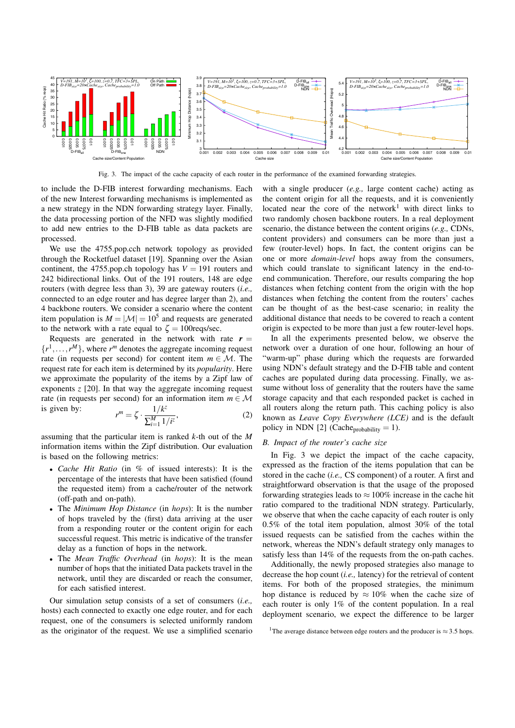

Fig. 3. The impact of the cache capacity of each router in the performance of the examined forwarding strategies.

to include the D-FIB interest forwarding mechanisms. Each of the new Interest forwarding mechanisms is implemented as a new strategy in the NDN forwarding strategy layer. Finally, the data processing portion of the NFD was slightly modified to add new entries to the D-FIB table as data packets are processed.

We use the 4755.pop.cch network topology as provided through the Rocketfuel dataset [19]. Spanning over the Asian continent, the 4755 pop.ch topology has  $V = 191$  routers and 242 bidirectional links. Out of the 191 routers, 148 are edge routers (with degree less than 3), 39 are gateway routers (*i.e.*, connected to an edge router and has degree larger than 2), and 4 backbone routers. We consider a scenario where the content item population is  $M = |\mathcal{M}| = 10^5$  and requests are generated to the network with a rate equal to  $\zeta = 100 \text{reg/sec}$ .

Requests are generated in the network with rate  $r =$  $\{r^1, \ldots, r^M\}$ , where  $r^m$  denotes the aggregate incoming request rate (in requests per second) for content item  $m \in \mathcal{M}$ . The request rate for each item is determined by its *popularity*. Here we approximate the popularity of the items by a Zipf law of exponents  $z$  [20]. In that way the aggregate incoming request rate (in requests per second) for an information item  $m \in \mathcal{M}$  $\frac{1}{2}$ is given by:

$$
m = \zeta \cdot \frac{1/\kappa^2}{\sum_{i=1}^{M} 1/i^z},\tag{2}
$$

assuming that the particular item is ranked  $k$ -th out of the  $M$ information items within the Zipf distribution. Our evaluation is based on the following metrics:

- Cache Hit Ratio (in % of issued interests): It is the percentage of the interests that have been satisfied (found the requested item) from a cache/router of the network (off-path and on-path).
- The Minimum Hop Distance (in hops): It is the number of hops traveled by the (first) data arriving at the user from a responding router or the content origin for each successful request. This metric is indicative of the transfer delay as a function of hops in the network.
- The Mean Traffic Overhead (in hops): It is the mean number of hops that the initiated Data packets travel in the network, until they are discarded or reach the consumer, for each satisfied interest.

Our simulation setup consists of a set of consumers (i.e., hosts) each connected to exactly one edge router, and for each request, one of the consumers is selected uniformly random as the originator of the request. We use a simplified scenario

with a single producer  $(e.g.,\) large content cache) acting as$ the content origin for all the requests, and it is conveniently located near the core of the network<sup>1</sup> with direct links to two randomly chosen backbone routers. In a real deployment scenario, the distance between the content origins  $(e.g., CDNs,$ content providers) and consumers can be more than just a few (router-level) hops. In fact, the content origins can be one or more *domain-level* hops away from the consumers, which could translate to significant latency in the end-toend communication. Therefore, our results comparing the hop distances when fetching content from the origin with the hop distances when fetching the content from the routers' caches can be thought of as the best-case scenario; in reality the additional distance that needs to be covered to reach a content origin is expected to be more than just a few router-level hops.

In all the experiments presented below, we observe the network over a duration of one hour, following an hour of "warm-up" phase during which the requests are forwarded using NDN's default strategy and the D-FIB table and content caches are populated during data processing. Finally, we assume without loss of generality that the routers have the same storage capacity and that each responded packet is cached in all routers along the return path. This caching policy is also known as Leave Copy Everywhere (LCE) and is the default policy in NDN [2] (Cache<sub>probability</sub> = 1).

# B. Impact of the router's cache size

In Fig. 3 we depict the impact of the cache capacity, expressed as the fraction of the items population that can be stored in the cache (i.e., CS component) of a router. A first and straightforward observation is that the usage of the proposed forwarding strategies leads to  $\approx 100\%$  increase in the cache hit ratio compared to the traditional NDN strategy. Particularly, we observe that when the cache capacity of each router is only  $0.5\%$  of the total item population, almost 30% of the total issued requests can be satisfied from the caches within the network, whereas the NDN's default strategy only manages to satisfy less than 14% of the requests from the on-path caches.

Additionally, the newly proposed strategies also manage to decrease the hop count *(i.e., latency)* for the retrieval of content items. For both of the proposed strategies, the minimum hop distance is reduced by  $\approx 10\%$  when the cache size of each router is only  $1\%$  of the content population. In a real deployment scenario, we expect the difference to be larger

<sup>&</sup>lt;sup>1</sup>The average distance between edge routers and the producer is  $\approx$  3.5 hops.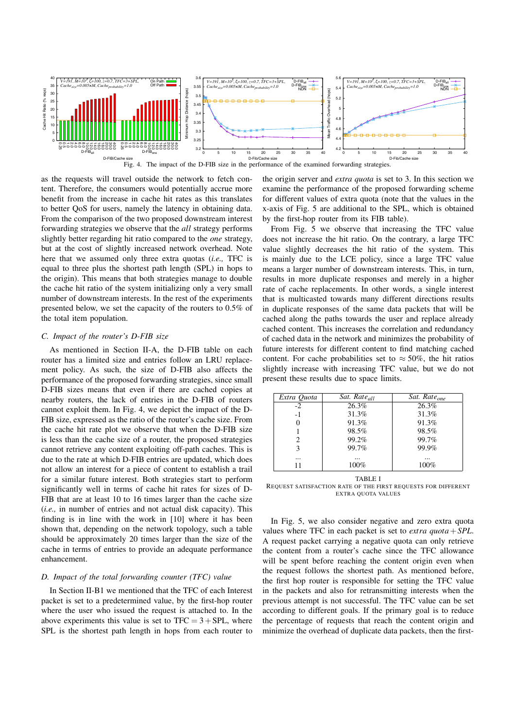

as the requests will travel outside the network to fetch content. Therefore, the consumers would potentially accrue more benefit from the increase in cache hit rates as this translates to better OoS for users, namely the latency in obtaining data. From the comparison of the two proposed downstream interest forwarding strategies we observe that the *all* strategy performs slightly better regarding hit ratio compared to the *one* strategy, but at the cost of slightly increased network overhead. Note here that we assumed only three extra quotas (i.e., TFC is equal to three plus the shortest path length (SPL) in hops to the origin). This means that both strategies manage to double the cache hit ratio of the system initializing only a very small number of downstream interests. In the rest of the experiments presented below, we set the capacity of the routers to 0.5% of the total item population.

# C. Impact of the router's D-FIB size

As mentioned in Section II-A, the D-FIB table on each router has a limited size and entries follow an LRU replacement policy. As such, the size of D-FIB also affects the performance of the proposed forwarding strategies, since small D-FIB sizes means that even if there are cached copies at nearby routers, the lack of entries in the D-FIB of routers cannot exploit them. In Fig. 4, we depict the impact of the D-FIB size, expressed as the ratio of the router's cache size. From the cache hit rate plot we observe that when the D-FIB size is less than the cache size of a router, the proposed strategies cannot retrieve any content exploiting off-path caches. This is due to the rate at which D-FIB entries are updated, which does not allow an interest for a piece of content to establish a trail for a similar future interest. Both strategies start to perform significantly well in terms of cache hit rates for sizes of D-FIB that are at least 10 to 16 times larger than the cache size *(i.e., in number of entries and not actual disk capacity). This* finding is in line with the work in [10] where it has been shown that, depending on the network topology, such a table should be approximately 20 times larger than the size of the cache in terms of entries to provide an adequate performance enhancement.

# D. Impact of the total forwarding counter (TFC) value

In Section II-B1 we mentioned that the TFC of each Interest packet is set to a predetermined value, by the first-hop router where the user who issued the request is attached to. In the above experiments this value is set to  $TFC = 3 + SPL$ , where SPL is the shortest path length in hops from each router to

the origin server and *extra quota* is set to 3. In this section we examine the performance of the proposed forwarding scheme for different values of extra quota (note that the values in the x-axis of Fig. 5 are additional to the SPL, which is obtained by the first-hop router from its FIB table).

From Fig. 5 we observe that increasing the TFC value does not increase the hit ratio. On the contrary, a large TFC value slightly decreases the hit ratio of the system. This is mainly due to the LCE policy, since a large TFC value means a larger number of downstream interests. This, in turn, results in more duplicate responses and merely in a higher rate of cache replacements. In other words, a single interest that is multicasted towards many different directions results in duplicate responses of the same data packets that will be cached along the paths towards the user and replace already cached content. This increases the correlation and redundancy of cached data in the network and minimizes the probability of future interests for different content to find matching cached content. For cache probabilities set to  $\approx$  50%, the hit ratios slightly increase with increasing TFC value, but we do not present these results due to space limits.

| Extra Quota | Sat. Rate <sub>all</sub> | Sat. Rate <sub>one</sub> |
|-------------|--------------------------|--------------------------|
| $-2$        | 26.3%                    | 26.3%                    |
| $-1$        | 31.3%                    | 31.3%                    |
|             | 91.3%                    | 91.3%                    |
|             | 98.5%                    | 98.5%                    |
| 2.          | 99.2%                    | 99.7%                    |
| 3           | 99.7%                    | 99.9%                    |
| $\cdots$    |                          |                          |
|             | 100%                     | 100%                     |

**TABLE I** 

**REQUEST SATISFACTION RATE OF THE FIRST REQUESTS FOR DIFFERENT** EXTRA QUOTA VALUES

In Fig. 5, we also consider negative and zero extra quota values where TFC in each packet is set to *extra quota* +  $SPL$ . A request packet carrying a negative quota can only retrieve the content from a router's cache since the TFC allowance will be spent before reaching the content origin even when the request follows the shortest path. As mentioned before, the first hop router is responsible for setting the TFC value in the packets and also for retransmitting interests when the previous attempt is not successful. The TFC value can be set according to different goals. If the primary goal is to reduce the percentage of requests that reach the content origin and minimize the overhead of duplicate data packets, then the first-